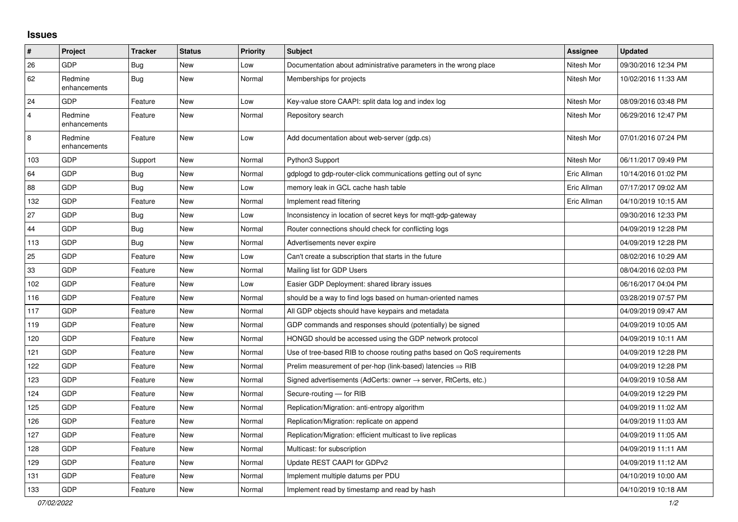## **Issues**

| #              | Project                 | <b>Tracker</b> | <b>Status</b> | <b>Priority</b> | <b>Subject</b>                                                          | Assignee    | <b>Updated</b>      |
|----------------|-------------------------|----------------|---------------|-----------------|-------------------------------------------------------------------------|-------------|---------------------|
| 26             | GDP                     | <b>Bug</b>     | <b>New</b>    | Low             | Documentation about administrative parameters in the wrong place        | Nitesh Mor  | 09/30/2016 12:34 PM |
| 62             | Redmine<br>enhancements | Bug            | <b>New</b>    | Normal          | Memberships for projects                                                | Nitesh Mor  | 10/02/2016 11:33 AM |
| 24             | GDP                     | Feature        | <b>New</b>    | Low             | Key-value store CAAPI: split data log and index log                     | Nitesh Mor  | 08/09/2016 03:48 PM |
| $\overline{4}$ | Redmine<br>enhancements | Feature        | <b>New</b>    | Normal          | Repository search                                                       | Nitesh Mor  | 06/29/2016 12:47 PM |
| 8              | Redmine<br>enhancements | Feature        | <b>New</b>    | Low             | Add documentation about web-server (gdp.cs)                             | Nitesh Mor  | 07/01/2016 07:24 PM |
| 103            | GDP                     | Support        | <b>New</b>    | Normal          | Python3 Support                                                         | Nitesh Mor  | 06/11/2017 09:49 PM |
| 64             | <b>GDP</b>              | Bug            | New           | Normal          | gdplogd to gdp-router-click communications getting out of sync          | Eric Allman | 10/14/2016 01:02 PM |
| 88             | GDP                     | <b>Bug</b>     | <b>New</b>    | Low             | memory leak in GCL cache hash table                                     | Eric Allman | 07/17/2017 09:02 AM |
| 132            | GDP                     | Feature        | <b>New</b>    | Normal          | Implement read filtering                                                | Eric Allman | 04/10/2019 10:15 AM |
| 27             | GDP                     | Bug            | <b>New</b>    | Low             | Inconsistency in location of secret keys for mgtt-gdp-gateway           |             | 09/30/2016 12:33 PM |
| 44             | GDP                     | Bug            | <b>New</b>    | Normal          | Router connections should check for conflicting logs                    |             | 04/09/2019 12:28 PM |
| 113            | GDP                     | <b>Bug</b>     | <b>New</b>    | Normal          | Advertisements never expire                                             |             | 04/09/2019 12:28 PM |
| 25             | GDP                     | Feature        | <b>New</b>    | Low             | Can't create a subscription that starts in the future                   |             | 08/02/2016 10:29 AM |
| 33             | GDP                     | Feature        | <b>New</b>    | Normal          | Mailing list for GDP Users                                              |             | 08/04/2016 02:03 PM |
| 102            | GDP                     | Feature        | New           | Low             | Easier GDP Deployment: shared library issues                            |             | 06/16/2017 04:04 PM |
| 116            | GDP                     | Feature        | <b>New</b>    | Normal          | should be a way to find logs based on human-oriented names              |             | 03/28/2019 07:57 PM |
| 117            | GDP                     | Feature        | <b>New</b>    | Normal          | All GDP objects should have keypairs and metadata                       |             | 04/09/2019 09:47 AM |
| 119            | GDP                     | Feature        | <b>New</b>    | Normal          | GDP commands and responses should (potentially) be signed               |             | 04/09/2019 10:05 AM |
| 120            | GDP                     | Feature        | <b>New</b>    | Normal          | HONGD should be accessed using the GDP network protocol                 |             | 04/09/2019 10:11 AM |
| 121            | GDP                     | Feature        | New           | Normal          | Use of tree-based RIB to choose routing paths based on QoS requirements |             | 04/09/2019 12:28 PM |
| 122            | GDP                     | Feature        | New           | Normal          | Prelim measurement of per-hop (link-based) latencies $\Rightarrow$ RIB  |             | 04/09/2019 12:28 PM |
| 123            | GDP                     | Feature        | <b>New</b>    | Normal          | Signed advertisements (AdCerts: owner → server, RtCerts, etc.)          |             | 04/09/2019 10:58 AM |
| 124            | GDP                     | Feature        | <b>New</b>    | Normal          | Secure-routing - for RIB                                                |             | 04/09/2019 12:29 PM |
| 125            | GDP                     | Feature        | New           | Normal          | Replication/Migration: anti-entropy algorithm                           |             | 04/09/2019 11:02 AM |
| 126            | GDP                     | Feature        | <b>New</b>    | Normal          | Replication/Migration: replicate on append                              |             | 04/09/2019 11:03 AM |
| 127            | GDP                     | Feature        | <b>New</b>    | Normal          | Replication/Migration: efficient multicast to live replicas             |             | 04/09/2019 11:05 AM |
| 128            | GDP                     | Feature        | New           | Normal          | Multicast: for subscription                                             |             | 04/09/2019 11:11 AM |
| 129            | GDP                     | Feature        | New           | Normal          | Update REST CAAPI for GDPv2                                             |             | 04/09/2019 11:12 AM |
| 131            | GDP                     | Feature        | <b>New</b>    | Normal          | Implement multiple datums per PDU                                       |             | 04/10/2019 10:00 AM |
| 133            | GDP                     | Feature        | New           | Normal          | Implement read by timestamp and read by hash                            |             | 04/10/2019 10:18 AM |